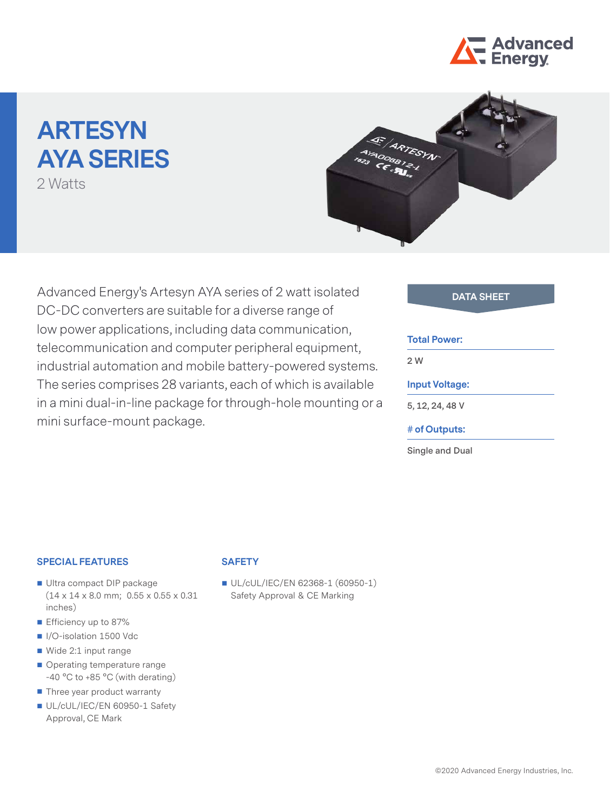

# **ARTESYN AYA SERIES**

2 Watts



Advanced Energy's Artesyn AYA series of 2 watt isolated **DATA SHEET** DC-DC converters are suitable for a diverse range of low power applications, including data communication, telecommunication and computer peripheral equipment, industrial automation and mobile battery-powered systems. The series comprises 28 variants, each of which is available in a mini dual-in-line package for through-hole mounting or a mini surface-mount package.

#### **Total Power:**

**2 W**

### **Input Voltage:**

**5, 12, 24, 48 V**

#### **# of Outputs:**

**Single and Dual**

#### **SPECIAL FEATURES**

- Ultra compact DIP package (14 x 14 x 8.0 mm; 0.55 x 0.55 x 0.31 inches)
- **E** Efficiency up to 87%
- I/O-isolation 1500 Vdc
- Wide 2:1 input range
- Operating temperature range -40 °C to +85 °C (with derating)
- Three year product warranty
- UL/cUL/IEC/EN 60950-1 Safety Approval, CE Mark

#### **SAFETY**

UL/cUL/IEC/EN 62368-1 (60950-1) Safety Approval & CE Marking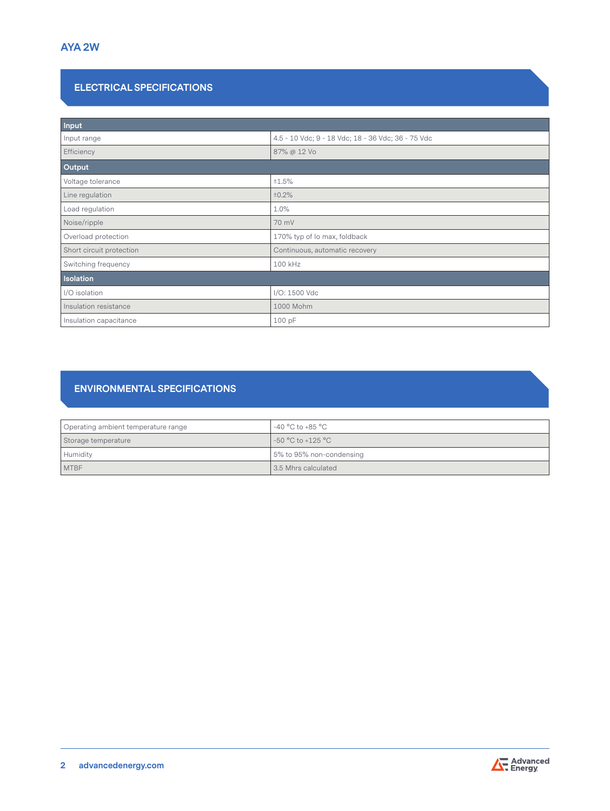# **ELECTRICAL SPECIFICATIONS**

| Input                    |                                                    |  |  |
|--------------------------|----------------------------------------------------|--|--|
| Input range              | 4.5 - 10 Vdc; 9 - 18 Vdc; 18 - 36 Vdc; 36 - 75 Vdc |  |  |
| Efficiency               | 87% @ 12 Vo                                        |  |  |
| Output                   |                                                    |  |  |
| Voltage tolerance        | ±1.5%                                              |  |  |
| Line regulation          | ±0.2%                                              |  |  |
| Load regulation          | 1.0%                                               |  |  |
| Noise/ripple             | 70 mV                                              |  |  |
| Overload protection      | 170% typ of Io max, foldback                       |  |  |
| Short circuit protection | Continuous, automatic recovery                     |  |  |
| Switching frequency      | 100 kHz                                            |  |  |
| <b>Isolation</b>         |                                                    |  |  |
| I/O isolation            | I/O: 1500 Vdc                                      |  |  |
| Insulation resistance    | 1000 Mohm                                          |  |  |
| Insulation capacitance   | 100 pF                                             |  |  |

# **ENVIRONMENTAL SPECIFICATIONS**

| Operating ambient temperature range | -40 °C to +85 °C         |
|-------------------------------------|--------------------------|
| Storage temperature                 | $-50 °C$ to $+125 °C$    |
| Humidity                            | 5% to 95% non-condensing |
| <b>MTBF</b>                         | 13.5 Mhrs calculated     |

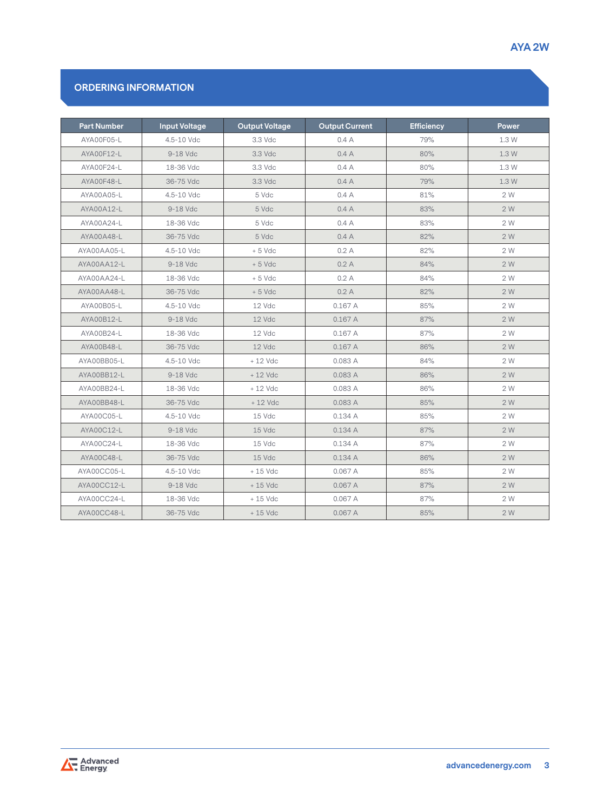# **ORDERING INFORMATION**

| <b>Part Number</b> | <b>Input Voltage</b> | <b>Output Voltage</b> | <b>Output Current</b> | <b>Efficiency</b> | Power |
|--------------------|----------------------|-----------------------|-----------------------|-------------------|-------|
| AYA00F05-L         | 4.5-10 Vdc           | 3.3 Vdc               | 0.4A                  | 79%               | 1.3 W |
| AYA00F12-L         | 9-18 Vdc             | 3.3 Vdc               | 0.4A                  | 80%               | 1.3 W |
| AYA00F24-L         | 18-36 Vdc            | 3.3 Vdc               | 0.4A                  | 80%               | 1.3 W |
| AYA00F48-L         | 36-75 Vdc            | 3.3 Vdc               | 0.4A                  | 79%               | 1.3 W |
| AYA00A05-L         | 4.5-10 Vdc           | 5 Vdc                 | 0.4A                  | 81%               | 2 W   |
| AYA00A12-L         | 9-18 Vdc             | 5 Vdc                 | 0.4A                  | 83%               | 2 W   |
| AYA00A24-L         | 18-36 Vdc            | 5 Vdc                 | 0.4A                  | 83%               | 2 W   |
| AYA00A48-L         | 36-75 Vdc            | 5 Vdc                 | 0.4A                  | 82%               | 2W    |
| AYA00AA05-L        | 4.5-10 Vdc           | $+5$ Vdc              | 0.2A                  | 82%               | 2 W   |
| AYA00AA12-L        | 9-18 Vdc             | $+5$ Vdc              | 0.2A                  | 84%               | 2 W   |
| AYA00AA24-L        | 18-36 Vdc            | $+5$ Vdc              | 0.2A                  | 84%               | 2 W   |
| AYA00AA48-L        | 36-75 Vdc            | $+5$ Vdc              | 0.2A                  | 82%               | 2 W   |
| AYA00B05-L         | 4.5-10 Vdc           | 12 Vdc                | 0.167A                | 85%               | 2 W   |
| AYA00B12-L         | 9-18 Vdc             | 12 Vdc                | 0.167A                | 87%               | 2 W   |
| AYA00B24-L         | 18-36 Vdc            | 12 Vdc                | 0.167A                | 87%               | 2 W   |
| AYA00B48-L         | 36-75 Vdc            | 12 Vdc                | 0.167A                | 86%               | 2 W   |
| AYA00BB05-L        | 4.5-10 Vdc           | $+12$ Vdc             | 0.083A                | 84%               | 2 W   |
| AYA00BB12-L        | 9-18 Vdc             | + 12 Vdc              | 0.083A                | 86%               | 2 W   |
| AYA00BB24-L        | 18-36 Vdc            | $+12$ Vdc             | 0.083 A               | 86%               | 2 W   |
| AYA00BB48-L        | 36-75 Vdc            | $+12$ Vdc             | 0.083A                | 85%               | 2 W   |
| AYA00C05-L         | 4.5-10 Vdc           | 15 Vdc                | 0.134A                | 85%               | 2 W   |
| AYA00C12-L         | 9-18 Vdc             | 15 Vdc                | 0.134A                | 87%               | 2 W   |
| AYA00C24-L         | 18-36 Vdc            | 15 Vdc                | 0.134A                | 87%               | 2 W   |
| AYA00C48-L         | 36-75 Vdc            | 15 Vdc                | 0.134A                | 86%               | 2 W   |
| AYA00CC05-L        | 4.5-10 Vdc           | $+15$ Vdc             | 0.067A                | 85%               | 2 W   |
| AYA00CC12-L        | 9-18 Vdc             | $+15$ Vdc             | 0.067A                | 87%               | 2 W   |
| AYA00CC24-L        | 18-36 Vdc            | $+15$ Vdc             | 0.067A                | 87%               | 2 W   |
| AYA00CC48-L        | 36-75 Vdc            | $+15$ Vdc             | 0.067A                | 85%               | 2 W   |

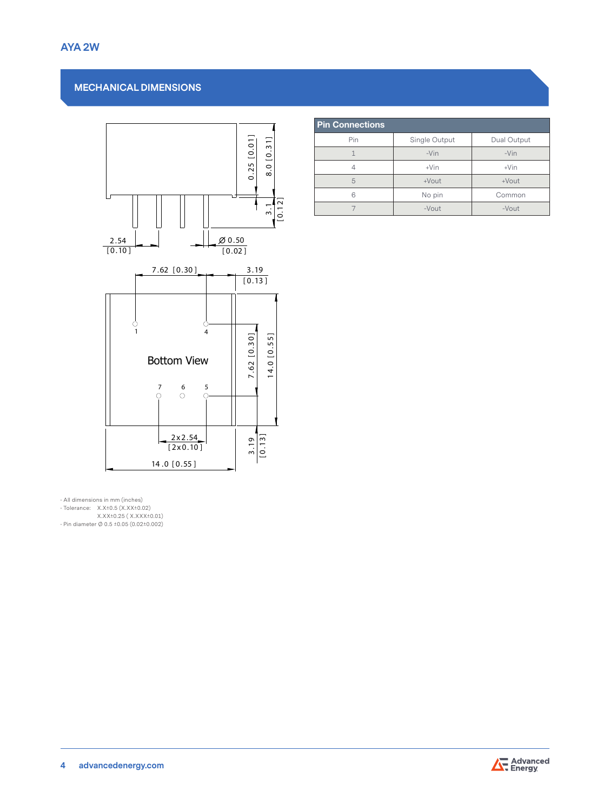## **MECHANICAL DIMENSIONS**



| <b>Pin Connections</b> |               |             |  |  |  |
|------------------------|---------------|-------------|--|--|--|
| Pin                    | Single Output | Dual Output |  |  |  |
| 1                      | $-Vin$        | $-Vin$      |  |  |  |
|                        | $+V$ in       | $+V$ in     |  |  |  |
| 5                      | +Vout         | $+$ Vout    |  |  |  |
| 6                      | No pin        | Common      |  |  |  |
|                        | $-V$ out      | $-V$ out    |  |  |  |

• All dimensions in mm (inches) • Tolerance: X.X±0.5 (X.XX±0.02) X.XX±0.25 ( X.XXX±0.01) • Pin diameter Ø 0.5 ±0.05 (0.02±0.002)